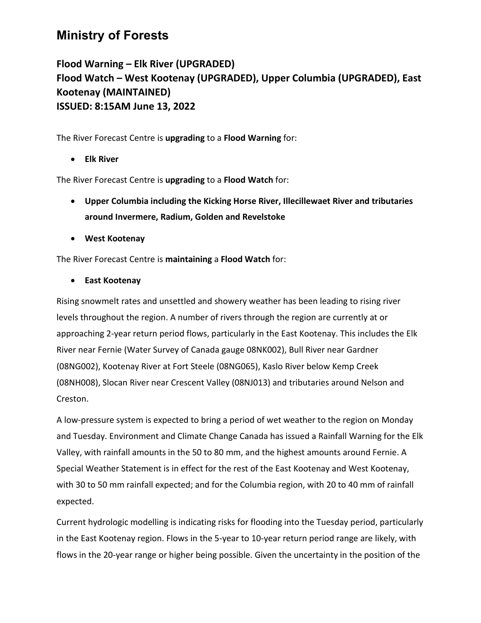## **Ministry of Forests**

**Flood Warning – Elk River (UPGRADED) Flood Watch – West Kootenay (UPGRADED), Upper Columbia (UPGRADED), East Kootenay (MAINTAINED) ISSUED: 8:15AM June 13, 2022**

The River Forecast Centre is **upgrading** to a **Flood Warning** for:

• **Elk River** 

The River Forecast Centre is **upgrading** to a **Flood Watch** for:

- **Upper Columbia including the Kicking Horse River, Illecillewaet River and tributaries around Invermere, Radium, Golden and Revelstoke**
- **West Kootenay**

The River Forecast Centre is **maintaining** a **Flood Watch** for:

• **East Kootenay**

Rising snowmelt rates and unsettled and showery weather has been leading to rising river levels throughout the region. A number of rivers through the region are currently at or approaching 2-year return period flows, particularly in the East Kootenay. This includes the Elk River near Fernie (Water Survey of Canada gauge 08NK002), Bull River near Gardner (08NG002), Kootenay River at Fort Steele (08NG065), Kaslo River below Kemp Creek (08NH008), Slocan River near Crescent Valley (08NJ013) and tributaries around Nelson and Creston.

A low-pressure system is expected to bring a period of wet weather to the region on Monday and Tuesday. Environment and Climate Change Canada has issued a Rainfall Warning for the Elk Valley, with rainfall amounts in the 50 to 80 mm, and the highest amounts around Fernie. A Special Weather Statement is in effect for the rest of the East Kootenay and West Kootenay, with 30 to 50 mm rainfall expected; and for the Columbia region, with 20 to 40 mm of rainfall expected.

Current hydrologic modelling is indicating risks for flooding into the Tuesday period, particularly in the East Kootenay region. Flows in the 5-year to 10-year return period range are likely, with flows in the 20-year range or higher being possible. Given the uncertainty in the position of the